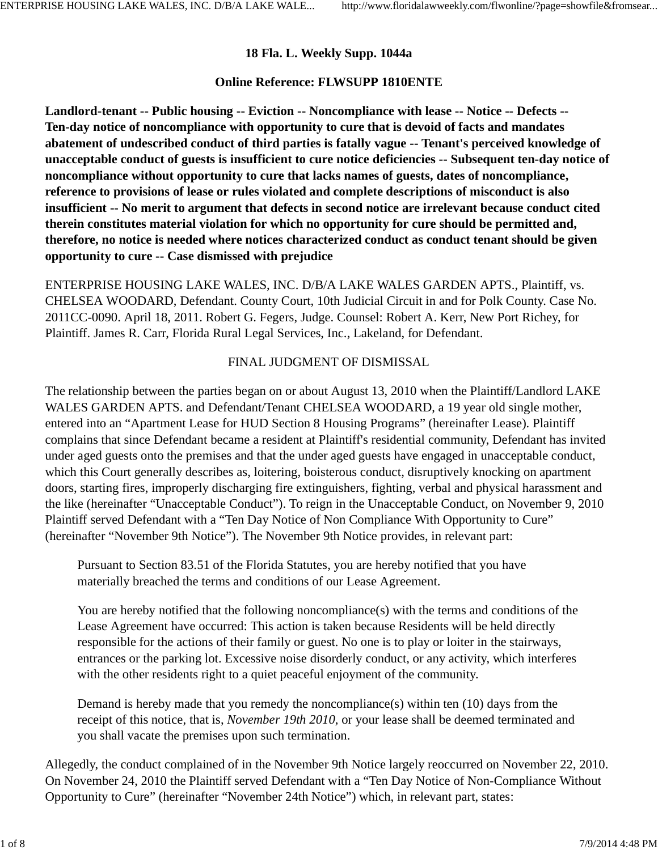## **18 Fla. L. Weekly Supp. 1044a**

#### **Online Reference: FLWSUPP 1810ENTE**

**Landlord-tenant -- Public housing -- Eviction -- Noncompliance with lease -- Notice -- Defects -- Ten-day notice of noncompliance with opportunity to cure that is devoid of facts and mandates abatement of undescribed conduct of third parties is fatally vague -- Tenant's perceived knowledge of unacceptable conduct of guests is insufficient to cure notice deficiencies -- Subsequent ten-day notice of noncompliance without opportunity to cure that lacks names of guests, dates of noncompliance, reference to provisions of lease or rules violated and complete descriptions of misconduct is also insufficient -- No merit to argument that defects in second notice are irrelevant because conduct cited therein constitutes material violation for which no opportunity for cure should be permitted and, therefore, no notice is needed where notices characterized conduct as conduct tenant should be given opportunity to cure -- Case dismissed with prejudice**

ENTERPRISE HOUSING LAKE WALES, INC. D/B/A LAKE WALES GARDEN APTS., Plaintiff, vs. CHELSEA WOODARD, Defendant. County Court, 10th Judicial Circuit in and for Polk County. Case No. 2011CC-0090. April 18, 2011. Robert G. Fegers, Judge. Counsel: Robert A. Kerr, New Port Richey, for Plaintiff. James R. Carr, Florida Rural Legal Services, Inc., Lakeland, for Defendant.

#### FINAL JUDGMENT OF DISMISSAL

The relationship between the parties began on or about August 13, 2010 when the Plaintiff/Landlord LAKE WALES GARDEN APTS. and Defendant/Tenant CHELSEA WOODARD, a 19 year old single mother, entered into an "Apartment Lease for HUD Section 8 Housing Programs" (hereinafter Lease). Plaintiff complains that since Defendant became a resident at Plaintiff's residential community, Defendant has invited under aged guests onto the premises and that the under aged guests have engaged in unacceptable conduct, which this Court generally describes as, loitering, boisterous conduct, disruptively knocking on apartment doors, starting fires, improperly discharging fire extinguishers, fighting, verbal and physical harassment and the like (hereinafter "Unacceptable Conduct"). To reign in the Unacceptable Conduct, on November 9, 2010 Plaintiff served Defendant with a "Ten Day Notice of Non Compliance With Opportunity to Cure" (hereinafter "November 9th Notice"). The November 9th Notice provides, in relevant part:

Pursuant to Section 83.51 of the Florida Statutes, you are hereby notified that you have materially breached the terms and conditions of our Lease Agreement.

You are hereby notified that the following noncompliance(s) with the terms and conditions of the Lease Agreement have occurred: This action is taken because Residents will be held directly responsible for the actions of their family or guest. No one is to play or loiter in the stairways, entrances or the parking lot. Excessive noise disorderly conduct, or any activity, which interferes with the other residents right to a quiet peaceful enjoyment of the community.

Demand is hereby made that you remedy the noncompliance(s) within ten (10) days from the receipt of this notice, that is, *November 19th 2010*, or your lease shall be deemed terminated and you shall vacate the premises upon such termination.

Allegedly, the conduct complained of in the November 9th Notice largely reoccurred on November 22, 2010. On November 24, 2010 the Plaintiff served Defendant with a "Ten Day Notice of Non-Compliance Without Opportunity to Cure" (hereinafter "November 24th Notice") which, in relevant part, states: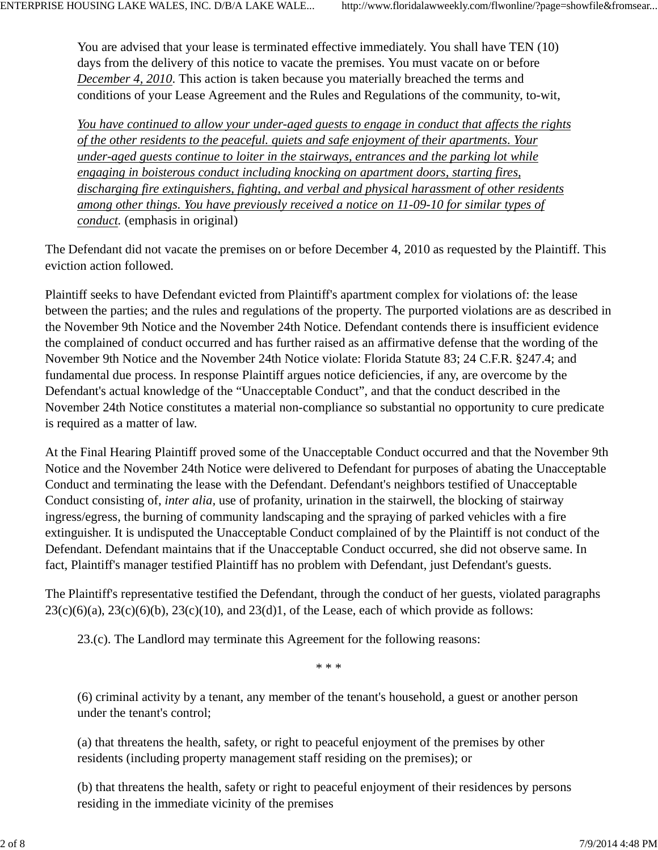You are advised that your lease is terminated effective immediately. You shall have TEN (10) days from the delivery of this notice to vacate the premises. You must vacate on or before *December 4, 2010*. This action is taken because you materially breached the terms and conditions of your Lease Agreement and the Rules and Regulations of the community, to-wit,

*You have continued to allow your under-aged guests to engage in conduct that affects the rights of the other residents to the peaceful. quiets and safe enjoyment of their apartments. Your under-aged guests continue to loiter in the stairways, entrances and the parking lot while engaging in boisterous conduct including knocking on apartment doors, starting fires, discharging fire extinguishers, fighting, and verbal and physical harassment of other residents among other things. You have previously received a notice on 11-09-10 for similar types of conduct.* (emphasis in original)

The Defendant did not vacate the premises on or before December 4, 2010 as requested by the Plaintiff. This eviction action followed.

Plaintiff seeks to have Defendant evicted from Plaintiff's apartment complex for violations of: the lease between the parties; and the rules and regulations of the property. The purported violations are as described in the November 9th Notice and the November 24th Notice. Defendant contends there is insufficient evidence the complained of conduct occurred and has further raised as an affirmative defense that the wording of the November 9th Notice and the November 24th Notice violate: Florida Statute 83; 24 C.F.R. §247.4; and fundamental due process. In response Plaintiff argues notice deficiencies, if any, are overcome by the Defendant's actual knowledge of the "Unacceptable Conduct", and that the conduct described in the November 24th Notice constitutes a material non-compliance so substantial no opportunity to cure predicate is required as a matter of law.

At the Final Hearing Plaintiff proved some of the Unacceptable Conduct occurred and that the November 9th Notice and the November 24th Notice were delivered to Defendant for purposes of abating the Unacceptable Conduct and terminating the lease with the Defendant. Defendant's neighbors testified of Unacceptable Conduct consisting of, *inter alia,* use of profanity, urination in the stairwell, the blocking of stairway ingress/egress, the burning of community landscaping and the spraying of parked vehicles with a fire extinguisher. It is undisputed the Unacceptable Conduct complained of by the Plaintiff is not conduct of the Defendant. Defendant maintains that if the Unacceptable Conduct occurred, she did not observe same. In fact, Plaintiff's manager testified Plaintiff has no problem with Defendant, just Defendant's guests.

The Plaintiff's representative testified the Defendant, through the conduct of her guests, violated paragraphs  $23(c)(6)(a)$ ,  $23(c)(6)(b)$ ,  $23(c)(10)$ , and  $23(d)1$ , of the Lease, each of which provide as follows:

23.(c). The Landlord may terminate this Agreement for the following reasons:

\* \* \*

(6) criminal activity by a tenant, any member of the tenant's household, a guest or another person under the tenant's control;

(a) that threatens the health, safety, or right to peaceful enjoyment of the premises by other residents (including property management staff residing on the premises); or

(b) that threatens the health, safety or right to peaceful enjoyment of their residences by persons residing in the immediate vicinity of the premises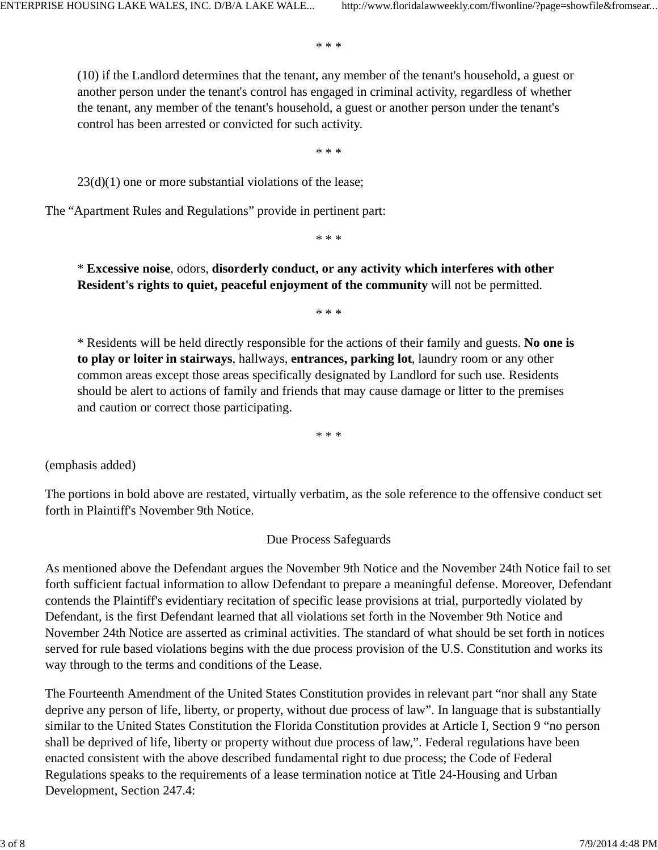\* \* \*

(10) if the Landlord determines that the tenant, any member of the tenant's household, a guest or another person under the tenant's control has engaged in criminal activity, regardless of whether the tenant, any member of the tenant's household, a guest or another person under the tenant's control has been arrested or convicted for such activity.

\* \* \*

 $23(d)(1)$  one or more substantial violations of the lease;

The "Apartment Rules and Regulations" provide in pertinent part:

\* \* \*

\* **Excessive noise**, odors, **disorderly conduct, or any activity which interferes with other Resident's rights to quiet, peaceful enjoyment of the community** will not be permitted.

\* \* \*

\* Residents will be held directly responsible for the actions of their family and guests. **No one is to play or loiter in stairways**, hallways, **entrances, parking lot**, laundry room or any other common areas except those areas specifically designated by Landlord for such use. Residents should be alert to actions of family and friends that may cause damage or litter to the premises and caution or correct those participating.

\* \* \*

(emphasis added)

The portions in bold above are restated, virtually verbatim, as the sole reference to the offensive conduct set forth in Plaintiff's November 9th Notice.

Due Process Safeguards

As mentioned above the Defendant argues the November 9th Notice and the November 24th Notice fail to set forth sufficient factual information to allow Defendant to prepare a meaningful defense. Moreover, Defendant contends the Plaintiff's evidentiary recitation of specific lease provisions at trial, purportedly violated by Defendant, is the first Defendant learned that all violations set forth in the November 9th Notice and November 24th Notice are asserted as criminal activities. The standard of what should be set forth in notices served for rule based violations begins with the due process provision of the U.S. Constitution and works its way through to the terms and conditions of the Lease.

The Fourteenth Amendment of the United States Constitution provides in relevant part "nor shall any State deprive any person of life, liberty, or property, without due process of law". In language that is substantially similar to the United States Constitution the Florida Constitution provides at Article I, Section 9 "no person shall be deprived of life, liberty or property without due process of law,". Federal regulations have been enacted consistent with the above described fundamental right to due process; the Code of Federal Regulations speaks to the requirements of a lease termination notice at Title 24-Housing and Urban Development, Section 247.4: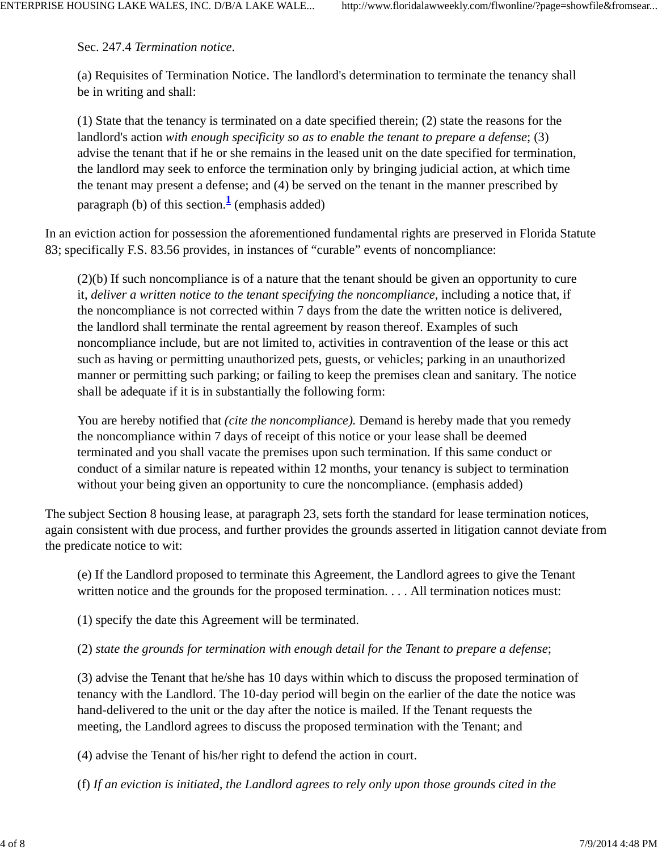Sec. 247.4 *Termination notice.*

(a) Requisites of Termination Notice. The landlord's determination to terminate the tenancy shall be in writing and shall:

(1) State that the tenancy is terminated on a date specified therein; (2) state the reasons for the landlord's action *with enough specificity so as to enable the tenant to prepare a defense*; (3) advise the tenant that if he or she remains in the leased unit on the date specified for termination, the landlord may seek to enforce the termination only by bringing judicial action, at which time the tenant may present a defense; and (4) be served on the tenant in the manner prescribed by paragraph (b) of this section. **1** (emphasis added)

In an eviction action for possession the aforementioned fundamental rights are preserved in Florida Statute 83; specifically F.S. 83.56 provides, in instances of "curable" events of noncompliance:

(2)(b) If such noncompliance is of a nature that the tenant should be given an opportunity to cure it, *deliver a written notice to the tenant specifying the noncompliance*, including a notice that, if the noncompliance is not corrected within 7 days from the date the written notice is delivered, the landlord shall terminate the rental agreement by reason thereof. Examples of such noncompliance include, but are not limited to, activities in contravention of the lease or this act such as having or permitting unauthorized pets, guests, or vehicles; parking in an unauthorized manner or permitting such parking; or failing to keep the premises clean and sanitary. The notice shall be adequate if it is in substantially the following form:

You are hereby notified that *(cite the noncompliance).* Demand is hereby made that you remedy the noncompliance within 7 days of receipt of this notice or your lease shall be deemed terminated and you shall vacate the premises upon such termination. If this same conduct or conduct of a similar nature is repeated within 12 months, your tenancy is subject to termination without your being given an opportunity to cure the noncompliance. (emphasis added)

The subject Section 8 housing lease, at paragraph 23, sets forth the standard for lease termination notices, again consistent with due process, and further provides the grounds asserted in litigation cannot deviate from the predicate notice to wit:

(e) If the Landlord proposed to terminate this Agreement, the Landlord agrees to give the Tenant written notice and the grounds for the proposed termination. . . . All termination notices must:

(1) specify the date this Agreement will be terminated.

(2) *state the grounds for termination with enough detail for the Tenant to prepare a defense*;

(3) advise the Tenant that he/she has 10 days within which to discuss the proposed termination of tenancy with the Landlord. The 10-day period will begin on the earlier of the date the notice was hand-delivered to the unit or the day after the notice is mailed. If the Tenant requests the meeting, the Landlord agrees to discuss the proposed termination with the Tenant; and

(4) advise the Tenant of his/her right to defend the action in court.

(f) *If an eviction is initiated, the Landlord agrees to rely only upon those grounds cited in the*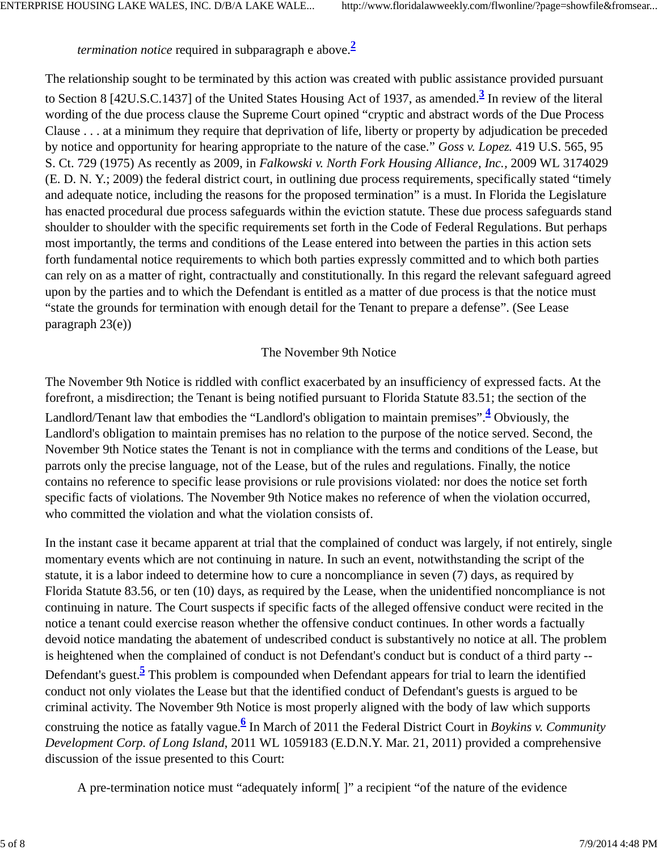*termination notice* required in subparagraph e above. **2**

The relationship sought to be terminated by this action was created with public assistance provided pursuant to Section 8 [42U.S.C.1437] of the United States Housing Act of 1937, as amended. **3** In review of the literal wording of the due process clause the Supreme Court opined "cryptic and abstract words of the Due Process Clause . . . at a minimum they require that deprivation of life, liberty or property by adjudication be preceded by notice and opportunity for hearing appropriate to the nature of the case." *Goss v. Lopez.* 419 U.S. 565, 95 S. Ct. 729 (1975) As recently as 2009, in *Falkowski v. North Fork Housing Alliance, Inc.,* 2009 WL 3174029 (E. D. N. Y.; 2009) the federal district court, in outlining due process requirements, specifically stated "timely and adequate notice, including the reasons for the proposed termination" is a must. In Florida the Legislature has enacted procedural due process safeguards within the eviction statute. These due process safeguards stand shoulder to shoulder with the specific requirements set forth in the Code of Federal Regulations. But perhaps most importantly, the terms and conditions of the Lease entered into between the parties in this action sets forth fundamental notice requirements to which both parties expressly committed and to which both parties can rely on as a matter of right, contractually and constitutionally. In this regard the relevant safeguard agreed upon by the parties and to which the Defendant is entitled as a matter of due process is that the notice must "state the grounds for termination with enough detail for the Tenant to prepare a defense". (See Lease paragraph 23(e))

#### The November 9th Notice

The November 9th Notice is riddled with conflict exacerbated by an insufficiency of expressed facts. At the forefront, a misdirection; the Tenant is being notified pursuant to Florida Statute 83.51; the section of the Landlord/Tenant law that embodies the "Landlord's obligation to maintain premises". **<sup>4</sup>** Obviously, the Landlord's obligation to maintain premises has no relation to the purpose of the notice served. Second, the November 9th Notice states the Tenant is not in compliance with the terms and conditions of the Lease, but parrots only the precise language, not of the Lease, but of the rules and regulations. Finally, the notice contains no reference to specific lease provisions or rule provisions violated: nor does the notice set forth specific facts of violations. The November 9th Notice makes no reference of when the violation occurred, who committed the violation and what the violation consists of.

In the instant case it became apparent at trial that the complained of conduct was largely, if not entirely, single momentary events which are not continuing in nature. In such an event, notwithstanding the script of the statute, it is a labor indeed to determine how to cure a noncompliance in seven (7) days, as required by Florida Statute 83.56, or ten (10) days, as required by the Lease, when the unidentified noncompliance is not continuing in nature. The Court suspects if specific facts of the alleged offensive conduct were recited in the notice a tenant could exercise reason whether the offensive conduct continues. In other words a factually devoid notice mandating the abatement of undescribed conduct is substantively no notice at all. The problem is heightened when the complained of conduct is not Defendant's conduct but is conduct of a third party -- Defendant's guest. **<sup>5</sup>** This problem is compounded when Defendant appears for trial to learn the identified conduct not only violates the Lease but that the identified conduct of Defendant's guests is argued to be criminal activity. The November 9th Notice is most properly aligned with the body of law which supports construing the notice as fatally vague. **6** In March of 2011 the Federal District Court in *Boykins v. Community Development Corp. of Long Island*, 2011 WL 1059183 (E.D.N.Y. Mar. 21, 2011) provided a comprehensive discussion of the issue presented to this Court:

A pre-termination notice must "adequately inform[ ]" a recipient "of the nature of the evidence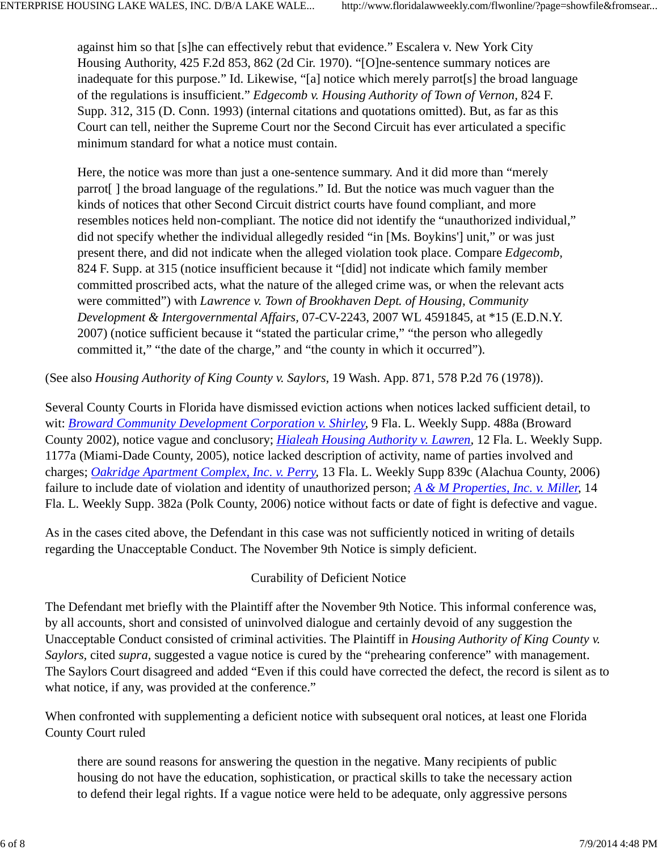against him so that [s]he can effectively rebut that evidence." Escalera v. New York City Housing Authority, 425 F.2d 853, 862 (2d Cir. 1970). "[O]ne-sentence summary notices are inadequate for this purpose." Id. Likewise, "[a] notice which merely parrot[s] the broad language of the regulations is insufficient." *Edgecomb v. Housing Authority of Town of Vernon,* 824 F. Supp. 312, 315 (D. Conn. 1993) (internal citations and quotations omitted). But, as far as this Court can tell, neither the Supreme Court nor the Second Circuit has ever articulated a specific minimum standard for what a notice must contain.

Here, the notice was more than just a one-sentence summary. And it did more than "merely parrot[ ] the broad language of the regulations." Id. But the notice was much vaguer than the kinds of notices that other Second Circuit district courts have found compliant, and more resembles notices held non-compliant. The notice did not identify the "unauthorized individual," did not specify whether the individual allegedly resided "in [Ms. Boykins'] unit," or was just present there, and did not indicate when the alleged violation took place. Compare *Edgecomb,* 824 F. Supp. at 315 (notice insufficient because it "[did] not indicate which family member committed proscribed acts, what the nature of the alleged crime was, or when the relevant acts were committed") with *Lawrence v. Town of Brookhaven Dept. of Housing, Community Development & Intergovernmental Affairs,* 07-CV-2243, 2007 WL 4591845, at \*15 (E.D.N.Y. 2007) (notice sufficient because it "stated the particular crime," "the person who allegedly committed it," "the date of the charge," and "the county in which it occurred").

(See also *Housing Authority of King County v. Saylors,* 19 Wash. App. 871, 578 P.2d 76 (1978)).

Several County Courts in Florida have dismissed eviction actions when notices lacked sufficient detail, to wit: *Broward Community Development Corporation v. Shirley,* 9 Fla. L. Weekly Supp. 488a (Broward County 2002), notice vague and conclusory; *Hialeah Housing Authority v. Lawren,* 12 Fla. L. Weekly Supp. 1177a (Miami-Dade County, 2005), notice lacked description of activity, name of parties involved and charges; *Oakridge Apartment Complex, Inc. v. Perry,* 13 Fla. L. Weekly Supp 839c (Alachua County, 2006) failure to include date of violation and identity of unauthorized person; *A & M Properties, Inc. v. Miller,* 14 Fla. L. Weekly Supp. 382a (Polk County, 2006) notice without facts or date of fight is defective and vague.

As in the cases cited above, the Defendant in this case was not sufficiently noticed in writing of details regarding the Unacceptable Conduct. The November 9th Notice is simply deficient.

## Curability of Deficient Notice

The Defendant met briefly with the Plaintiff after the November 9th Notice. This informal conference was, by all accounts, short and consisted of uninvolved dialogue and certainly devoid of any suggestion the Unacceptable Conduct consisted of criminal activities. The Plaintiff in *Housing Authority of King County v. Saylors,* cited *supra,* suggested a vague notice is cured by the "prehearing conference" with management. The Saylors Court disagreed and added "Even if this could have corrected the defect, the record is silent as to what notice, if any, was provided at the conference."

When confronted with supplementing a deficient notice with subsequent oral notices, at least one Florida County Court ruled

there are sound reasons for answering the question in the negative. Many recipients of public housing do not have the education, sophistication, or practical skills to take the necessary action to defend their legal rights. If a vague notice were held to be adequate, only aggressive persons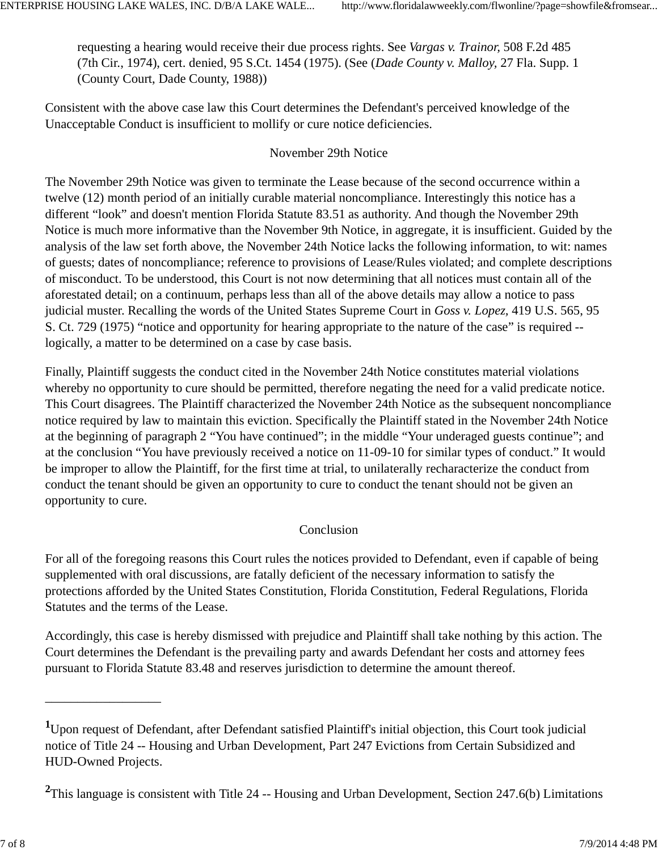requesting a hearing would receive their due process rights. See *Vargas v. Trainor,* 508 F.2d 485 (7th Cir., 1974), cert. denied, 95 S.Ct. 1454 (1975). (See (*Dade County v. Malloy,* 27 Fla. Supp. 1 (County Court, Dade County, 1988))

Consistent with the above case law this Court determines the Defendant's perceived knowledge of the Unacceptable Conduct is insufficient to mollify or cure notice deficiencies.

# November 29th Notice

The November 29th Notice was given to terminate the Lease because of the second occurrence within a twelve (12) month period of an initially curable material noncompliance. Interestingly this notice has a different "look" and doesn't mention Florida Statute 83.51 as authority. And though the November 29th Notice is much more informative than the November 9th Notice, in aggregate, it is insufficient. Guided by the analysis of the law set forth above, the November 24th Notice lacks the following information, to wit: names of guests; dates of noncompliance; reference to provisions of Lease/Rules violated; and complete descriptions of misconduct. To be understood, this Court is not now determining that all notices must contain all of the aforestated detail; on a continuum, perhaps less than all of the above details may allow a notice to pass judicial muster. Recalling the words of the United States Supreme Court in *Goss v. Lopez,* 419 U.S. 565, 95 S. Ct. 729 (1975) "notice and opportunity for hearing appropriate to the nature of the case" is required - logically, a matter to be determined on a case by case basis.

Finally, Plaintiff suggests the conduct cited in the November 24th Notice constitutes material violations whereby no opportunity to cure should be permitted, therefore negating the need for a valid predicate notice. This Court disagrees. The Plaintiff characterized the November 24th Notice as the subsequent noncompliance notice required by law to maintain this eviction. Specifically the Plaintiff stated in the November 24th Notice at the beginning of paragraph 2 "You have continued"; in the middle "Your underaged guests continue"; and at the conclusion "You have previously received a notice on 11-09-10 for similar types of conduct." It would be improper to allow the Plaintiff, for the first time at trial, to unilaterally recharacterize the conduct from conduct the tenant should be given an opportunity to cure to conduct the tenant should not be given an opportunity to cure.

## Conclusion

For all of the foregoing reasons this Court rules the notices provided to Defendant, even if capable of being supplemented with oral discussions, are fatally deficient of the necessary information to satisfy the protections afforded by the United States Constitution, Florida Constitution, Federal Regulations, Florida Statutes and the terms of the Lease.

Accordingly, this case is hereby dismissed with prejudice and Plaintiff shall take nothing by this action. The Court determines the Defendant is the prevailing party and awards Defendant her costs and attorney fees pursuant to Florida Statute 83.48 and reserves jurisdiction to determine the amount thereof.

\_\_\_\_\_\_\_\_\_\_\_\_\_\_\_\_\_\_

**<sup>1</sup>**Upon request of Defendant, after Defendant satisfied Plaintiff's initial objection, this Court took judicial notice of Title 24 -- Housing and Urban Development, Part 247 Evictions from Certain Subsidized and HUD-Owned Projects.

<sup>&</sup>lt;sup>2</sup>This language is consistent with Title 24 -- Housing and Urban Development, Section 247.6(b) Limitations